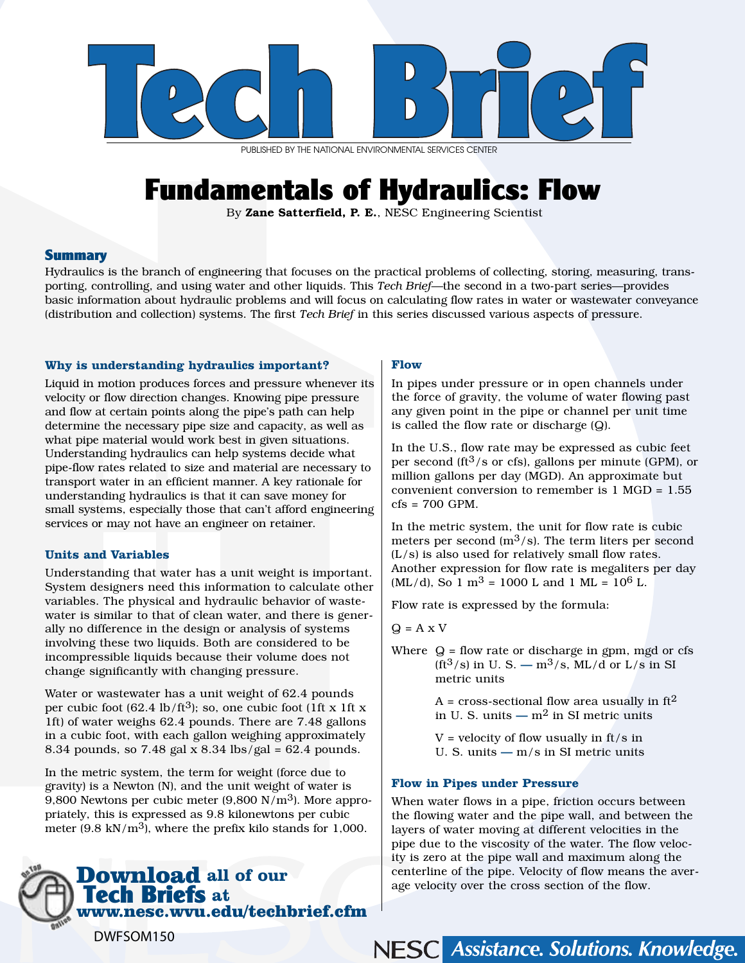

PUBLISHED BY THE NATIONAL ENVIRONMENTAL SERVICES CENTER

# Fundamentals of Hydraulics: Flow

By Zane Satterfield, P. E., NESC Engineering Scientist

# **Summary**

Hydraulics is the branch of engineering that focuses on the practical problems of collecting, storing, measuring, transporting, controlling, and using water and other liquids. This *Tech Brief*—the second in a two-part series—provides basic information about hydraulic problems and will focus on calculating flow rates in water or wastewater conveyance (distribution and collection) systems. The first *Tech Brief* in this series discussed various aspects of pressure.

# **Why is understanding hydraulics important?**

Liquid in motion produces forces and pressure whenever its velocity or flow direction changes. Knowing pipe pressure and flow at certain points along the pipe's path can help determine the necessary pipe size and capacity, as well as what pipe material would work best in given situations. Understanding hydraulics can help systems decide what pipe-flow rates related to size and material are necessary to transport water in an efficient manner. A key rationale for understanding hydraulics is that it can save money for small systems, especially those that can't afford engineering services or may not have an engineer on retainer.

## **Units and Variables**

Understanding that water has a unit weight is important. System designers need this information to calculate other variables. The physical and hydraulic behavior of wastewater is similar to that of clean water, and there is generally no difference in the design or analysis of systems involving these two liquids. Both are considered to be incompressible liquids because their volume does not change significantly with changing pressure.

Water or wastewater has a unit weight of 62.4 pounds per cubic foot  $(62.4 \text{ lb/ft}^3)$ ; so, one cubic foot  $(1 \text{ ft} \times 1 \text{ ft} \times$ 1ft) of water weighs 62.4 pounds. There are 7.48 gallons in a cubic foot, with each gallon weighing approximately 8.34 pounds, so 7.48 gal x 8.34 lbs/gal =  $62.4$  pounds.

In the metric system, the term for weight (force due to gravity) is a Newton (N), and the unit weight of water is 9,800 Newtons per cubic meter  $(9,800 \text{ N/m}^3)$ . More appropriately, this is expressed as 9.8 kilonewtons per cubic meter (9.8 kN/m<sup>3</sup>), where the prefix kilo stands for 1,000.

# Download **all of our**  Tech Briefs **at**  www.nesc.wvu.edu/techbrief.cfm

#### **Flow**

In pipes under pressure or in open channels under the force of gravity, the volume of water flowing past any given point in the pipe or channel per unit time is called the flow rate or discharge (Q).

In the U.S., flow rate may be expressed as cubic feet per second (ft<sup>3</sup>/s or cfs), gallons per minute (GPM), or million gallons per day (MGD). An approximate but convenient conversion to remember is 1 MGD = 1.55 cfs = 700 GPM.

In the metric system, the unit for flow rate is cubic meters per second  $(m^3/s)$ . The term liters per second (L/s) is also used for relatively small flow rates. Another expression for flow rate is megaliters per day  $(ML/d)$ , So 1 m<sup>3</sup> = 1000 L and 1 ML = 10<sup>6</sup> L.

Flow rate is expressed by the formula:

 $Q = A \times V$ 

Where  $Q =$  flow rate or discharge in gpm, mgd or cfs  $(ft^3/s)$  in U.S. —  $m^3/s$ . ML/d or L/s in SI metric units

> A = cross-sectional flow area usually in  $ft<sup>2</sup>$ in U. S. units —  $m^2$  in SI metric units

 $V =$  velocity of flow usually in ft/s in U. S. units — m/s in SI metric units

## **Flow in Pipes under Pressure**

When water flows in a pipe, friction occurs between the flowing water and the pipe wall, and between the layers of water moving at different velocities in the pipe due to the viscosity of the water. The flow velocity is zero at the pipe wall and maximum along the centerline of the pipe. Velocity of flow means the average velocity over the cross section of the flow.

NESC Assistance. Solutions. Knowledge.

DWFSOM150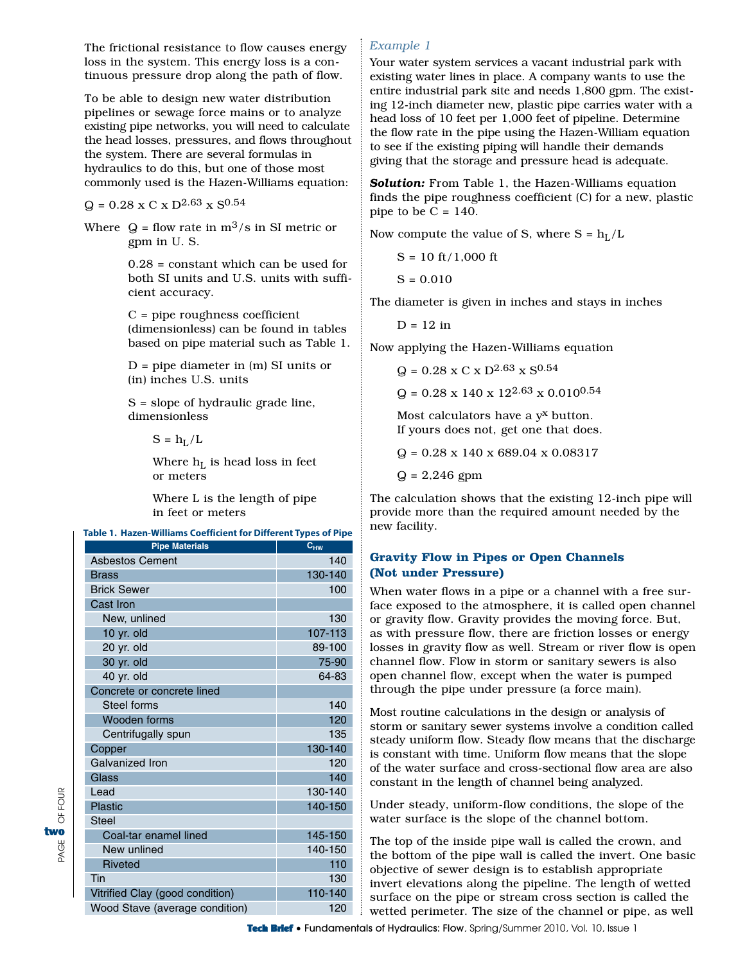The frictional resistance to flow causes energy loss in the system. This energy loss is a continuous pressure drop along the path of flow.

To be able to design new water distribution pipelines or sewage force mains or to analyze existing pipe networks, you will need to calculate the head losses, pressures, and flows throughout the system. There are several formulas in hydraulics to do this, but one of those most commonly used is the Hazen-Williams equation:

 $Q = 0.28$  x C x D<sup>2.63</sup> x S<sup>0.54</sup>

Where  $Q =$  flow rate in  $m^3/s$  in SI metric or gpm in U. S.

> $0.28$  = constant which can be used for both SI units and U.S. units with sufficient accuracy.

> C = pipe roughness coefficient (dimensionless) can be found in tables based on pipe material such as Table 1.

 $D =$  pipe diameter in  $(m)$  SI units or (in) inches U.S. units

S = slope of hydraulic grade line, dimensionless

 $S = h_L/L$ 

Where  $h_L$  is head loss in feet or meters

Where L is the length of pipe in feet or meters

#### **Table 1. Hazen-Williams Coefficient for Different Types of Pipe**

| <b>Pipe Materials</b>           | <u>. . </u><br>$c_{HW}$ |
|---------------------------------|-------------------------|
| <b>Asbestos Cement</b>          | 140                     |
| Brass                           | 130-140                 |
| <b>Brick Sewer</b>              | 100                     |
| Cast Iron                       |                         |
| New, unlined                    | 130                     |
| 10 yr. $old$                    | 107-113                 |
| 20 yr. old                      | 89-100                  |
| 30 yr. old                      | 75-90                   |
| 40 yr. old                      | 64-83                   |
| Concrete or concrete lined      |                         |
| Steel forms                     | 140                     |
| Wooden forms                    | 120                     |
| Centrifugally spun              | 135                     |
| Copper                          | 130-140                 |
| Galvanized Iron                 | 120                     |
| Glass                           | 140                     |
| Lead                            | 130-140                 |
| Plastic                         | 140-150                 |
| Steel                           |                         |
| Coal-tar enamel lined           | 145-150                 |
| New unlined                     | 140-150                 |
| <b>Riveted</b>                  | 110                     |
| Tin                             | 130                     |
| Vitrified Clay (good condition) | 110-140                 |
| Wood Stave (average condition)  | 120                     |

PAGE OF FOUR

OF FOUR

two<br>∜<br>l≦

# *Example 1*

Your water system services a vacant industrial park with existing water lines in place. A company wants to use the entire industrial park site and needs 1,800 gpm. The existing 12-inch diameter new, plastic pipe carries water with a head loss of 10 feet per 1,000 feet of pipeline. Determine the flow rate in the pipe using the Hazen-William equation to see if the existing piping will handle their demands giving that the storage and pressure head is adequate.

**Solution:** From Table 1, the Hazen-Williams equation finds the pipe roughness coefficient (C) for a new, plastic pipe to be  $C = 140$ .

Now compute the value of S, where  $S = h_L/L$ 

$$
S = 10 \text{ ft} / 1,000 \text{ ft}
$$

$$
S=0.010
$$

The diameter is given in inches and stays in inches

 $D = 12$  in

Now applying the Hazen-Williams equation

 $Q = 0.28 \times C \times D^{2.63} \times S^{0.54}$ 

 $Q = 0.28 \times 140 \times 12^{2.63} \times 0.010^{0.54}$ 

Most calculators have a  $y<sup>x</sup>$  button. If yours does not, get one that does.

 $Q = 0.28 \times 140 \times 689.04 \times 0.08317$ 

 $Q = 2,246$  gpm

The calculation shows that the existing 12-inch pipe will provide more than the required amount needed by the new facility.

# **Gravity Flow in Pipes or Open Channels (Not under Pressure)**

When water flows in a pipe or a channel with a free surface exposed to the atmosphere, it is called open channel or gravity flow. Gravity provides the moving force. But, as with pressure flow, there are friction losses or energy losses in gravity flow as well. Stream or river flow is open channel flow. Flow in storm or sanitary sewers is also open channel flow, except when the water is pumped through the pipe under pressure (a force main).

Most routine calculations in the design or analysis of storm or sanitary sewer systems involve a condition called steady uniform flow. Steady flow means that the discharge is constant with time. Uniform flow means that the slope of the water surface and cross-sectional flow area are also constant in the length of channel being analyzed.

Under steady, uniform-flow conditions, the slope of the water surface is the slope of the channel bottom.

The top of the inside pipe wall is called the crown, and the bottom of the pipe wall is called the invert. One basic objective of sewer design is to establish appropriate invert elevations along the pipeline. The length of wetted surface on the pipe or stream cross section is called the wetted perimeter. The size of the channel or pipe, as well

Tech Brief • Fundamentals of Hydraulics: Flow, Spring/Summer 2010, Vol. 10, Issue 1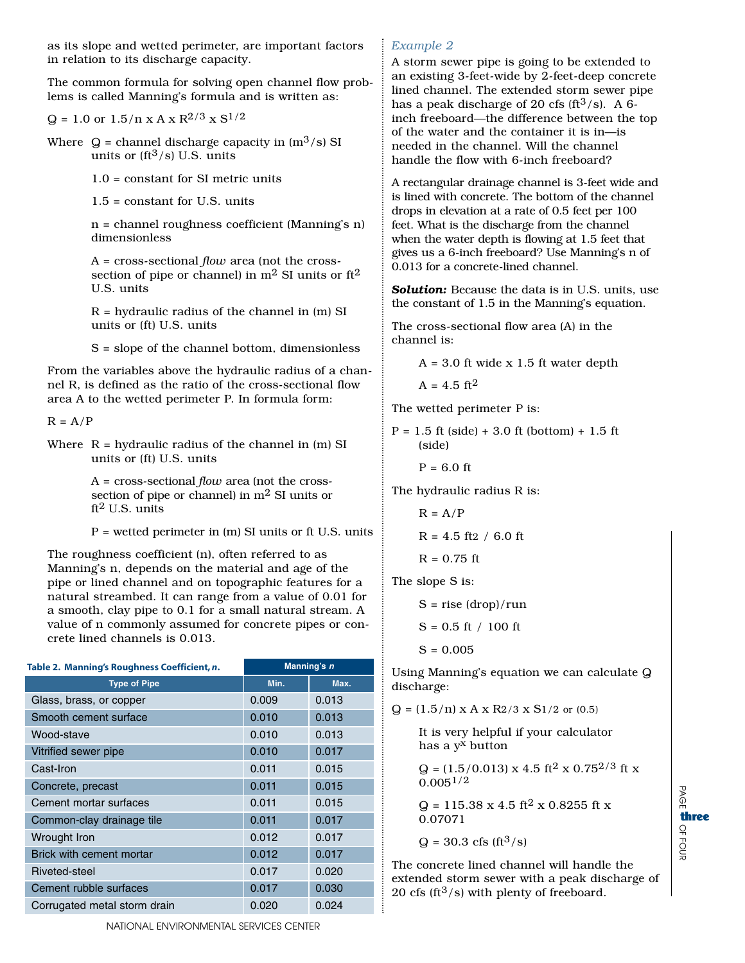as its slope and wetted perimeter, are important factors in relation to its discharge capacity.

The common formula for solving open channel flow problems is called Manning's formula and is written as:

 $Q = 1.0$  or  $1.5/n \times A \times R^{2/3} \times S^{1/2}$ 

Where  $Q =$  channel discharge capacity in  $(m^3/s)$  SI units or  $(ft^3/s)$  U.S. units

1.0 = constant for SI metric units

1.5 = constant for U.S. units

n = channel roughness coefficient (Manning's n) dimensionless

A = cross-sectional *flow* area (not the crosssection of pipe or channel) in  $m^2$  SI units or  $ft^2$ U.S. units

R = hydraulic radius of the channel in (m) SI units or (ft) U.S. units

S = slope of the channel bottom, dimensionless

From the variables above the hydraulic radius of a channel R, is defined as the ratio of the cross-sectional flow area A to the wetted perimeter P. In formula form:

```
R = A/P
```
Where  $R = hydr$  audic radius of the channel in (m) SI units or (ft) U.S. units

> A = cross-sectional *flow* area (not the crosssection of pipe or channel) in  $m^2$  SI units or  $ft<sup>2</sup>$  U.S. units

P = wetted perimeter in (m) SI units or ft U.S. units

The roughness coefficient (n), often referred to as Manning's n, depends on the material and age of the pipe or lined channel and on topographic features for a natural streambed. It can range from a value of 0.01 for a smooth, clay pipe to 0.1 for a small natural stream. A value of n commonly assumed for concrete pipes or concrete lined channels is 0.013.

| Table 2. Manning's Roughness Coefficient, n. | Manning's n |       |
|----------------------------------------------|-------------|-------|
| <b>Type of Pipe</b>                          | Min.        | Max.  |
| Glass, brass, or copper                      | 0.009       | 0.013 |
| Smooth cement surface                        | 0.010       | 0.013 |
| Wood-stave                                   | 0.010       | 0.013 |
| Vitrified sewer pipe                         | 0.010       | 0.017 |
| Cast-Iron                                    | 0.011       | 0.015 |
| Concrete, precast                            | 0.011       | 0.015 |
| Cement mortar surfaces                       | 0.011       | 0.015 |
| Common-clay drainage tile                    | 0.011       | 0.017 |
| Wrought Iron                                 | 0.012       | 0.017 |
| Brick with cement mortar                     | 0.012       | 0.017 |
| Riveted-steel                                | 0.017       | 0.020 |
| Cement rubble surfaces                       | 0.017       | 0.030 |
| Corrugated metal storm drain                 | 0.020       | 0.024 |

A storm sewer pipe is going to be extended to an existing 3-feet-wide by 2-feet-deep concrete lined channel. The extended storm sewer pipe has a peak discharge of 20 cfs (ft $3$ /s). A 6inch freeboard—the difference between the top of the water and the container it is in—is needed in the channel. Will the channel handle the flow with 6-inch freeboard?

A rectangular drainage channel is 3-feet wide and is lined with concrete. The bottom of the channel drops in elevation at a rate of 0.5 feet per 100 feet. What is the discharge from the channel when the water depth is flowing at 1.5 feet that gives us a 6-inch freeboard? Use Manning's n of 0.013 for a concrete-lined channel.

*Solution:* Because the data is in U.S. units, use the constant of 1.5 in the Manning's equation.

The cross-sectional flow area (A) in the channel is:

 $A = 3.0$  ft wide x 1.5 ft water depth

 $A = 4.5$  ft<sup>2</sup>

The wetted perimeter P is:

 $P = 1.5$  ft (side) + 3.0 ft (bottom) + 1.5 ft (side)

 $P = 6.0$  ft

The hydraulic radius R is:

$$
R = A/P
$$

$$
R = 4.5
$$
 ft2 / 6.0 ft

$$
R = 0.75 \text{ ft}
$$

The slope S is:

 $S = rise (drop)/run$ 

$$
S = 0.5 \text{ ft} / 100 \text{ ft}
$$

 $S = 0.005$ 

Using Manning's equation we can calculate Q discharge:

 $Q = (1.5/n) \times A \times R2/3 \times S1/2$  or  $(0.5)$ 

It is very helpful if your calculator has a yx button

 $Q = (1.5/0.013) \times 4.5 \text{ ft}^2 \times 0.75^{2/3} \text{ ft} \times$  $0.005^{1/2}$ 

 $Q = 115.38 \times 4.5 \text{ ft}^2 \times 0.8255 \text{ ft} \times$ 0.07071

 $Q = 30.3 \text{ cfs (ft<sup>3</sup>/s) }$ 

The concrete lined channel will handle the extended storm sewer with a peak discharge of 20 cfs ( $ft^3$ /s) with plenty of freeboard.